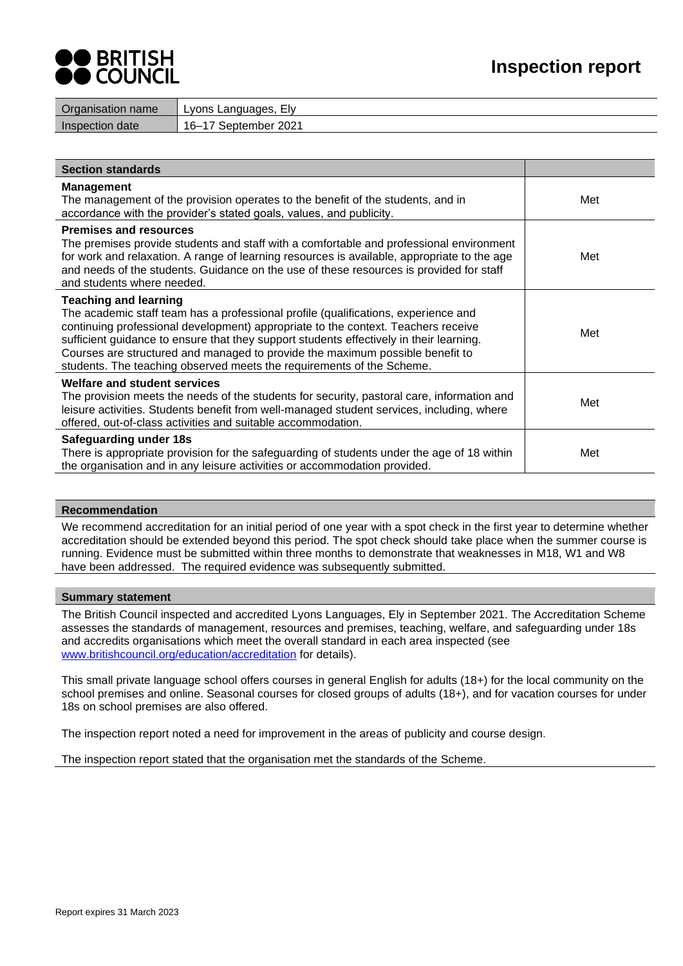

| name<br>Organisation | Ely<br>Lvons<br>∟anguages |
|----------------------|---------------------------|
| Inspection date      | 2021<br>16-<br>∵eptemberخ |

| <b>Section standards</b>                                                                                                                                                                                                                                                                                                                                                                                                                                     |     |
|--------------------------------------------------------------------------------------------------------------------------------------------------------------------------------------------------------------------------------------------------------------------------------------------------------------------------------------------------------------------------------------------------------------------------------------------------------------|-----|
| <b>Management</b><br>The management of the provision operates to the benefit of the students, and in<br>accordance with the provider's stated goals, values, and publicity.                                                                                                                                                                                                                                                                                  | Met |
| <b>Premises and resources</b><br>The premises provide students and staff with a comfortable and professional environment<br>for work and relaxation. A range of learning resources is available, appropriate to the age<br>and needs of the students. Guidance on the use of these resources is provided for staff<br>and students where needed.                                                                                                             | Met |
| <b>Teaching and learning</b><br>The academic staff team has a professional profile (qualifications, experience and<br>continuing professional development) appropriate to the context. Teachers receive<br>sufficient guidance to ensure that they support students effectively in their learning.<br>Courses are structured and managed to provide the maximum possible benefit to<br>students. The teaching observed meets the requirements of the Scheme. | Met |
| Welfare and student services<br>The provision meets the needs of the students for security, pastoral care, information and<br>leisure activities. Students benefit from well-managed student services, including, where<br>offered, out-of-class activities and suitable accommodation.                                                                                                                                                                      | Met |
| Safeguarding under 18s<br>There is appropriate provision for the safeguarding of students under the age of 18 within<br>the organisation and in any leisure activities or accommodation provided.                                                                                                                                                                                                                                                            | Met |

## **Recommendation**

We recommend accreditation for an initial period of one year with a spot check in the first year to determine whether accreditation should be extended beyond this period. The spot check should take place when the summer course is running. Evidence must be submitted within three months to demonstrate that weaknesses in M18, W1 and W8 have been addressed. The required evidence was subsequently submitted.

## **Summary statement**

The British Council inspected and accredited Lyons Languages, Ely in September 2021. The Accreditation Scheme assesses the standards of management, resources and premises, teaching, welfare, and safeguarding under 18s and accredits organisations which meet the overall standard in each area inspected (see [www.britishcouncil.org/education/accreditation](http://www.britishcouncil.org/education/accreditation) for details).

This small private language school offers courses in general English for adults (18+) for the local community on the school premises and online. Seasonal courses for closed groups of adults (18+), and for vacation courses for under 18s on school premises are also offered.

The inspection report noted a need for improvement in the areas of publicity and course design.

The inspection report stated that the organisation met the standards of the Scheme.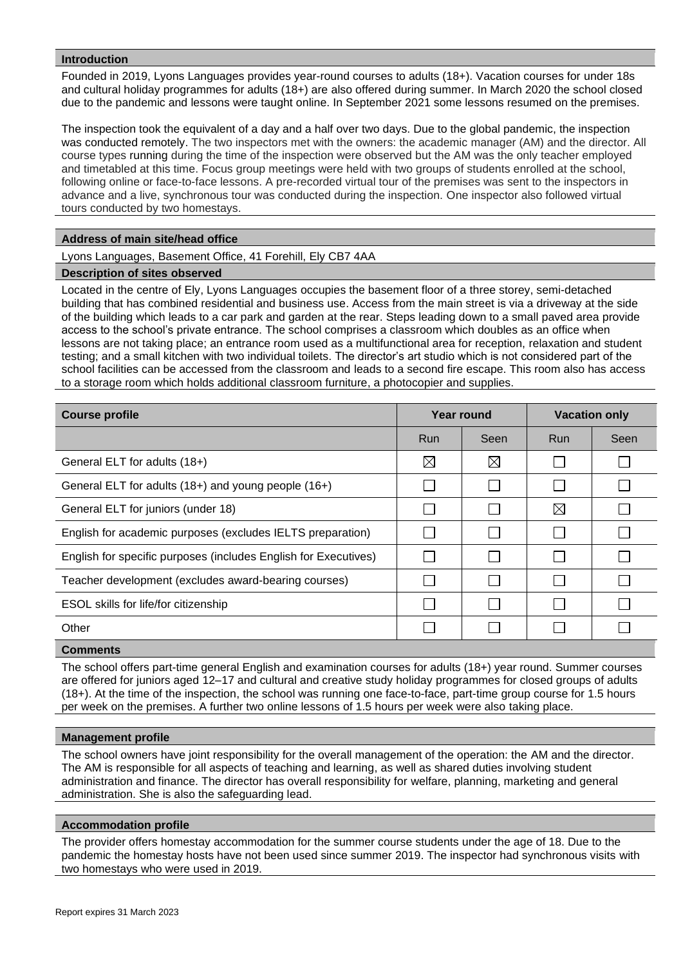# **Introduction**

Founded in 2019, Lyons Languages provides year-round courses to adults (18+). Vacation courses for under 18s and cultural holiday programmes for adults (18+) are also offered during summer. In March 2020 the school closed due to the pandemic and lessons were taught online. In September 2021 some lessons resumed on the premises.

The inspection took the equivalent of a day and a half over two days. Due to the global pandemic, the inspection was conducted remotely. The two inspectors met with the owners: the academic manager (AM) and the director. All course types running during the time of the inspection were observed but the AM was the only teacher employed and timetabled at this time. Focus group meetings were held with two groups of students enrolled at the school, following online or face-to-face lessons. A pre-recorded virtual tour of the premises was sent to the inspectors in advance and a live, synchronous tour was conducted during the inspection. One inspector also followed virtual tours conducted by two homestays.

## **Address of main site/head office**

Lyons Languages, Basement Office, 41 Forehill, Ely CB7 4AA

## **Description of sites observed**

Located in the centre of Ely, Lyons Languages occupies the basement floor of a three storey, semi-detached building that has combined residential and business use. Access from the main street is via a driveway at the side of the building which leads to a car park and garden at the rear. Steps leading down to a small paved area provide access to the school's private entrance. The school comprises a classroom which doubles as an office when lessons are not taking place; an entrance room used as a multifunctional area for reception, relaxation and student testing; and a small kitchen with two individual toilets. The director's art studio which is not considered part of the school facilities can be accessed from the classroom and leads to a second fire escape. This room also has access to a storage room which holds additional classroom furniture, a photocopier and supplies.

| <b>Course profile</b>                                           |     | Year round |             | <b>Vacation only</b> |  |
|-----------------------------------------------------------------|-----|------------|-------------|----------------------|--|
|                                                                 | Run | Seen       | <b>Run</b>  | Seen                 |  |
| General ELT for adults (18+)                                    | ⊠   | ⊠          |             |                      |  |
| General ELT for adults (18+) and young people (16+)             |     |            |             |                      |  |
| General ELT for juniors (under 18)                              |     |            | $\boxtimes$ |                      |  |
| English for academic purposes (excludes IELTS preparation)      |     |            |             |                      |  |
| English for specific purposes (includes English for Executives) |     |            |             |                      |  |
| Teacher development (excludes award-bearing courses)            |     |            |             |                      |  |
| ESOL skills for life/for citizenship                            |     |            |             |                      |  |
| Other                                                           |     |            |             |                      |  |

## **Comments**

The school offers part-time general English and examination courses for adults (18+) year round. Summer courses are offered for juniors aged 12–17 and cultural and creative study holiday programmes for closed groups of adults (18+). At the time of the inspection, the school was running one face-to-face, part-time group course for 1.5 hours per week on the premises. A further two online lessons of 1.5 hours per week were also taking place.

#### **Management profile**

The school owners have joint responsibility for the overall management of the operation: the AM and the director. The AM is responsible for all aspects of teaching and learning, as well as shared duties involving student administration and finance. The director has overall responsibility for welfare, planning, marketing and general administration. She is also the safeguarding lead.

#### **Accommodation profile**

The provider offers homestay accommodation for the summer course students under the age of 18. Due to the pandemic the homestay hosts have not been used since summer 2019. The inspector had synchronous visits with two homestays who were used in 2019.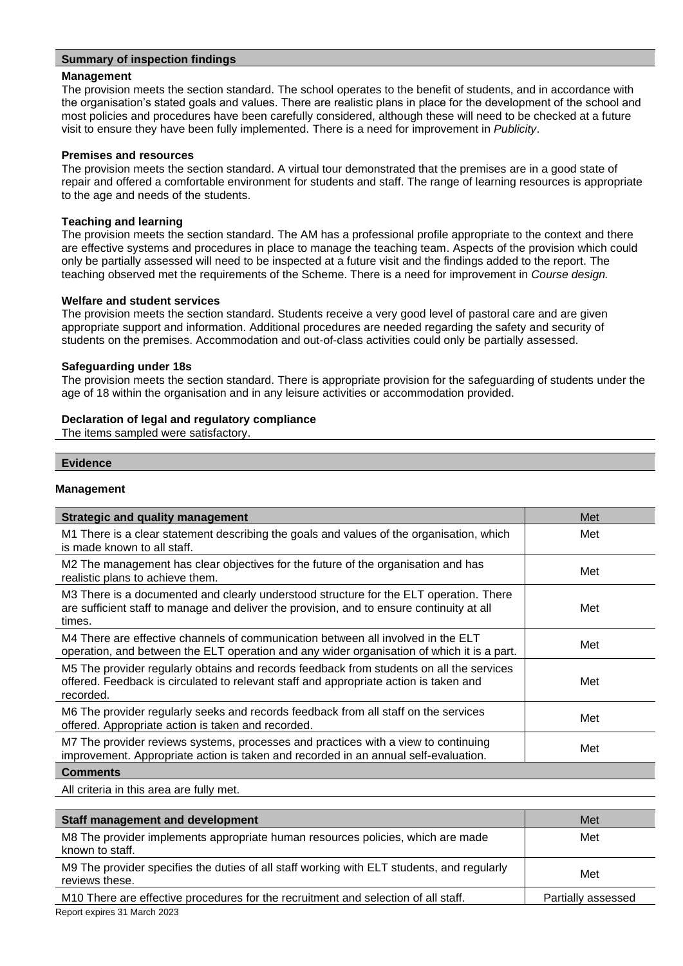# **Summary of inspection findings**

## **Management**

The provision meets the section standard. The school operates to the benefit of students, and in accordance with the organisation's stated goals and values. There are realistic plans in place for the development of the school and most policies and procedures have been carefully considered, although these will need to be checked at a future visit to ensure they have been fully implemented. There is a need for improvement in *Publicity*.

## **Premises and resources**

The provision meets the section standard. A virtual tour demonstrated that the premises are in a good state of repair and offered a comfortable environment for students and staff. The range of learning resources is appropriate to the age and needs of the students.

## **Teaching and learning**

The provision meets the section standard. The AM has a professional profile appropriate to the context and there are effective systems and procedures in place to manage the teaching team. Aspects of the provision which could only be partially assessed will need to be inspected at a future visit and the findings added to the report. The teaching observed met the requirements of the Scheme. There is a need for improvement in *Course design.*

## **Welfare and student services**

The provision meets the section standard. Students receive a very good level of pastoral care and are given appropriate support and information. Additional procedures are needed regarding the safety and security of students on the premises. Accommodation and out-of-class activities could only be partially assessed.

## **Safeguarding under 18s**

The provision meets the section standard. There is appropriate provision for the safeguarding of students under the age of 18 within the organisation and in any leisure activities or accommodation provided.

# **Declaration of legal and regulatory compliance**

The items sampled were satisfactory.

## **Evidence**

## **Management**

| <b>Strategic and quality management</b>                                                                                                                                                        | Met |
|------------------------------------------------------------------------------------------------------------------------------------------------------------------------------------------------|-----|
| M1 There is a clear statement describing the goals and values of the organisation, which<br>is made known to all staff.                                                                        | Met |
| M2 The management has clear objectives for the future of the organisation and has<br>realistic plans to achieve them.                                                                          | Met |
| M3 There is a documented and clearly understood structure for the ELT operation. There<br>are sufficient staff to manage and deliver the provision, and to ensure continuity at all<br>times.  | Met |
| M4 There are effective channels of communication between all involved in the ELT<br>operation, and between the ELT operation and any wider organisation of which it is a part.                 | Met |
| M5 The provider regularly obtains and records feedback from students on all the services<br>offered. Feedback is circulated to relevant staff and appropriate action is taken and<br>recorded. | Met |
| M6 The provider regularly seeks and records feedback from all staff on the services<br>offered. Appropriate action is taken and recorded.                                                      | Met |
| M7 The provider reviews systems, processes and practices with a view to continuing<br>improvement. Appropriate action is taken and recorded in an annual self-evaluation.                      | Met |
| <b>Comments</b>                                                                                                                                                                                |     |

All criteria in this area are fully met.

| <b>Staff management and development</b>                                                                      | Met                |
|--------------------------------------------------------------------------------------------------------------|--------------------|
| M8 The provider implements appropriate human resources policies, which are made<br>known to staff.           | Met                |
| M9 The provider specifies the duties of all staff working with ELT students, and regularly<br>reviews these. | Met                |
| M10 There are effective procedures for the recruitment and selection of all staff.                           | Partially assessed |
| Report expires 31 March 2023                                                                                 |                    |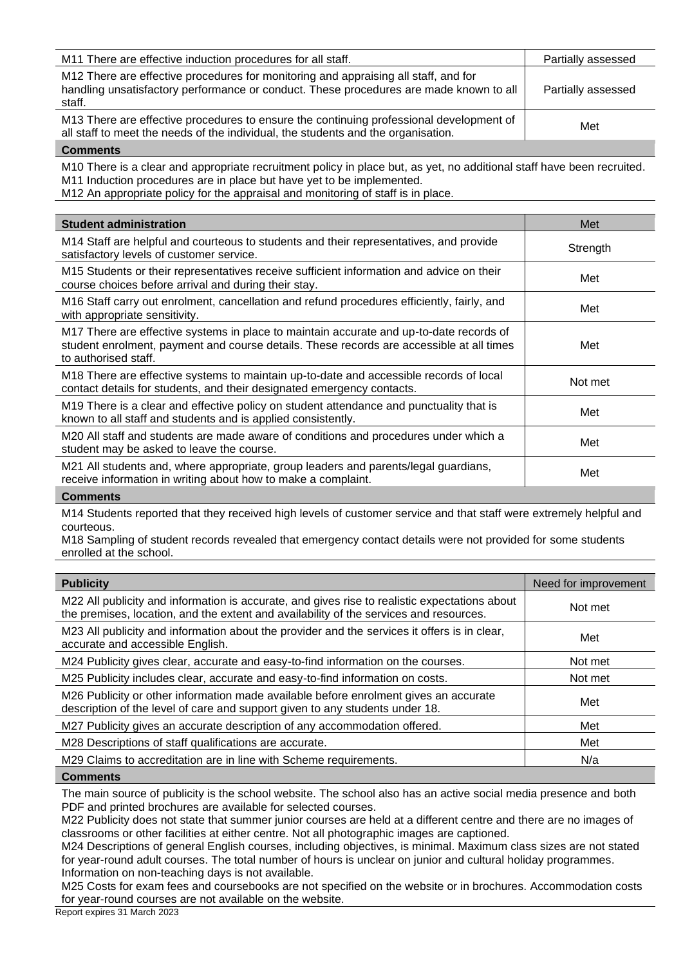| M11 There are effective induction procedures for all staff.                                                                                                                             | Partially assessed |
|-----------------------------------------------------------------------------------------------------------------------------------------------------------------------------------------|--------------------|
| M12 There are effective procedures for monitoring and appraising all staff, and for<br>handling unsatisfactory performance or conduct. These procedures are made known to all<br>staff. | Partially assessed |
| M13 There are effective procedures to ensure the continuing professional development of<br>all staff to meet the needs of the individual, the students and the organisation.            | Met                |

M10 There is a clear and appropriate recruitment policy in place but, as yet, no additional staff have been recruited. M11 Induction procedures are in place but have yet to be implemented.

M12 An appropriate policy for the appraisal and monitoring of staff is in place.

| <b>Student administration</b>                                                                                                                                                                               | Met      |
|-------------------------------------------------------------------------------------------------------------------------------------------------------------------------------------------------------------|----------|
| M14 Staff are helpful and courteous to students and their representatives, and provide<br>satisfactory levels of customer service.                                                                          | Strength |
| M15 Students or their representatives receive sufficient information and advice on their<br>course choices before arrival and during their stay.                                                            | Met      |
| M16 Staff carry out enrolment, cancellation and refund procedures efficiently, fairly, and<br>with appropriate sensitivity.                                                                                 | Met      |
| M17 There are effective systems in place to maintain accurate and up-to-date records of<br>student enrolment, payment and course details. These records are accessible at all times<br>to authorised staff. | Met      |
| M18 There are effective systems to maintain up-to-date and accessible records of local<br>contact details for students, and their designated emergency contacts.                                            | Not met  |
| M19 There is a clear and effective policy on student attendance and punctuality that is<br>known to all staff and students and is applied consistently.                                                     | Met      |
| M20 All staff and students are made aware of conditions and procedures under which a<br>student may be asked to leave the course.                                                                           | Met      |
| M21 All students and, where appropriate, group leaders and parents/legal guardians,<br>receive information in writing about how to make a complaint.                                                        | Met      |
|                                                                                                                                                                                                             |          |

## **Comments**

M14 Students reported that they received high levels of customer service and that staff were extremely helpful and courteous.

M18 Sampling of student records revealed that emergency contact details were not provided for some students enrolled at the school.

| <b>Publicity</b>                                                                                                                                                                        | Need for improvement |
|-----------------------------------------------------------------------------------------------------------------------------------------------------------------------------------------|----------------------|
| M22 All publicity and information is accurate, and gives rise to realistic expectations about<br>the premises, location, and the extent and availability of the services and resources. | Not met              |
| M23 All publicity and information about the provider and the services it offers is in clear,<br>accurate and accessible English.                                                        | Met                  |
| M24 Publicity gives clear, accurate and easy-to-find information on the courses.                                                                                                        | Not met              |
| M25 Publicity includes clear, accurate and easy-to-find information on costs.                                                                                                           | Not met              |
| M26 Publicity or other information made available before enrolment gives an accurate<br>description of the level of care and support given to any students under 18.                    | Met                  |
| M27 Publicity gives an accurate description of any accommodation offered.                                                                                                               | Met                  |
| M28 Descriptions of staff qualifications are accurate.                                                                                                                                  | Met                  |
| M29 Claims to accreditation are in line with Scheme requirements.                                                                                                                       | N/a                  |
| Gamma                                                                                                                                                                                   |                      |

#### **Comments**

The main source of publicity is the school website. The school also has an active social media presence and both PDF and printed brochures are available for selected courses.

M22 Publicity does not state that summer junior courses are held at a different centre and there are no images of classrooms or other facilities at either centre. Not all photographic images are captioned.

M24 Descriptions of general English courses, including objectives, is minimal. Maximum class sizes are not stated for year-round adult courses. The total number of hours is unclear on junior and cultural holiday programmes. Information on non-teaching days is not available.

M25 Costs for exam fees and coursebooks are not specified on the website or in brochures. Accommodation costs for year-round courses are not available on the website.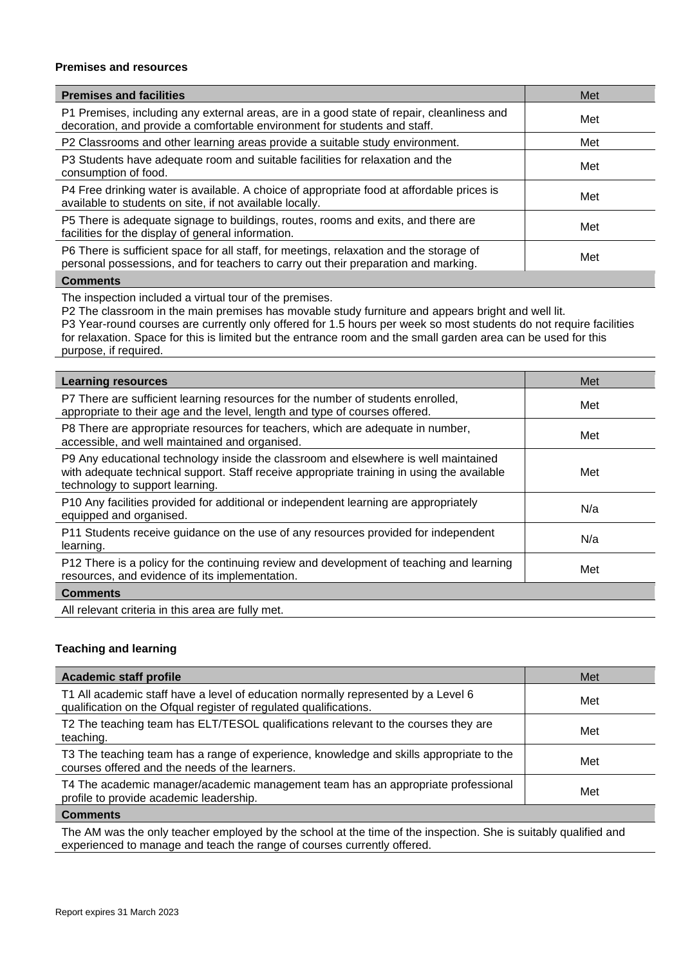## **Premises and resources**

| <b>Premises and facilities</b>                                                                                                                                                | Met |
|-------------------------------------------------------------------------------------------------------------------------------------------------------------------------------|-----|
| P1 Premises, including any external areas, are in a good state of repair, cleanliness and<br>decoration, and provide a comfortable environment for students and staff.        | Met |
| P2 Classrooms and other learning areas provide a suitable study environment.                                                                                                  | Met |
| P3 Students have adequate room and suitable facilities for relaxation and the<br>consumption of food.                                                                         | Met |
| P4 Free drinking water is available. A choice of appropriate food at affordable prices is<br>available to students on site, if not available locally.                         | Met |
| P5 There is adequate signage to buildings, routes, rooms and exits, and there are<br>facilities for the display of general information.                                       | Met |
| P6 There is sufficient space for all staff, for meetings, relaxation and the storage of<br>personal possessions, and for teachers to carry out their preparation and marking. | Met |
| <b>A</b> - --- --- - -- 1 -                                                                                                                                                   |     |

#### **Comments**

The inspection included a virtual tour of the premises.

P2 The classroom in the main premises has movable study furniture and appears bright and well lit.

P3 Year-round courses are currently only offered for 1.5 hours per week so most students do not require facilities for relaxation. Space for this is limited but the entrance room and the small garden area can be used for this purpose, if required.

| <b>Learning resources</b>                                                                                                                                                                                            | Met |
|----------------------------------------------------------------------------------------------------------------------------------------------------------------------------------------------------------------------|-----|
| P7 There are sufficient learning resources for the number of students enrolled,<br>appropriate to their age and the level, length and type of courses offered.                                                       | Met |
| P8 There are appropriate resources for teachers, which are adequate in number,<br>accessible, and well maintained and organised.                                                                                     | Met |
| P9 Any educational technology inside the classroom and elsewhere is well maintained<br>with adequate technical support. Staff receive appropriate training in using the available<br>technology to support learning. | Met |
| P10 Any facilities provided for additional or independent learning are appropriately<br>equipped and organised.                                                                                                      | N/a |
| P11 Students receive guidance on the use of any resources provided for independent<br>learning.                                                                                                                      | N/a |
| P12 There is a policy for the continuing review and development of teaching and learning<br>resources, and evidence of its implementation.                                                                           | Met |
| <b>Comments</b>                                                                                                                                                                                                      |     |
| All relevant criteria in this area are fully met.                                                                                                                                                                    |     |

# **Teaching and learning**

| Academic staff profile                                                                                                                                 | Met |
|--------------------------------------------------------------------------------------------------------------------------------------------------------|-----|
| T1 All academic staff have a level of education normally represented by a Level 6<br>qualification on the Ofqual register of regulated qualifications. | Met |
| T2 The teaching team has ELT/TESOL qualifications relevant to the courses they are<br>teaching.                                                        | Met |
| T3 The teaching team has a range of experience, knowledge and skills appropriate to the<br>courses offered and the needs of the learners.              | Met |
| T4 The academic manager/academic management team has an appropriate professional<br>profile to provide academic leadership.                            | Met |
| <b>Comments</b>                                                                                                                                        |     |

The AM was the only teacher employed by the school at the time of the inspection. She is suitably qualified and experienced to manage and teach the range of courses currently offered.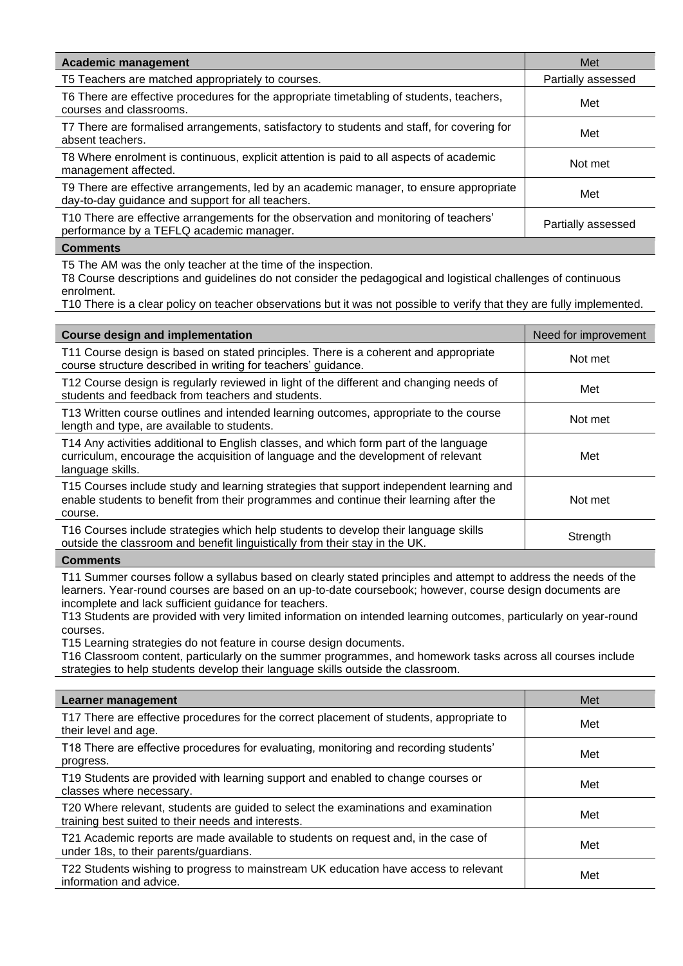| <b>Academic management</b>                                                                                                                  | Met                |
|---------------------------------------------------------------------------------------------------------------------------------------------|--------------------|
| T5 Teachers are matched appropriately to courses.                                                                                           | Partially assessed |
| T6 There are effective procedures for the appropriate timetabling of students, teachers,<br>courses and classrooms.                         | Met                |
| T7 There are formalised arrangements, satisfactory to students and staff, for covering for<br>absent teachers.                              | Met                |
| T8 Where enrolment is continuous, explicit attention is paid to all aspects of academic<br>management affected.                             | Not met            |
| T9 There are effective arrangements, led by an academic manager, to ensure appropriate<br>day-to-day guidance and support for all teachers. | Met                |
| T10 There are effective arrangements for the observation and monitoring of teachers'<br>performance by a TEFLQ academic manager.            | Partially assessed |

T5 The AM was the only teacher at the time of the inspection.

T8 Course descriptions and guidelines do not consider the pedagogical and logistical challenges of continuous enrolment.

T10 There is a clear policy on teacher observations but it was not possible to verify that they are fully implemented.

| <b>Course design and implementation</b>                                                                                                                                                        | Need for improvement |
|------------------------------------------------------------------------------------------------------------------------------------------------------------------------------------------------|----------------------|
| T11 Course design is based on stated principles. There is a coherent and appropriate<br>course structure described in writing for teachers' guidance.                                          | Not met              |
| T12 Course design is regularly reviewed in light of the different and changing needs of<br>students and feedback from teachers and students.                                                   | Met                  |
| T13 Written course outlines and intended learning outcomes, appropriate to the course<br>length and type, are available to students.                                                           | Not met              |
| T14 Any activities additional to English classes, and which form part of the language<br>curriculum, encourage the acquisition of language and the development of relevant<br>language skills. | Met                  |
| T15 Courses include study and learning strategies that support independent learning and<br>enable students to benefit from their programmes and continue their learning after the<br>course.   | Not met              |
| T16 Courses include strategies which help students to develop their language skills<br>outside the classroom and benefit linguistically from their stay in the UK.                             | Strength             |
|                                                                                                                                                                                                |                      |

# **Comments**

T11 Summer courses follow a syllabus based on clearly stated principles and attempt to address the needs of the learners. Year-round courses are based on an up-to-date coursebook; however, course design documents are incomplete and lack sufficient guidance for teachers.

T13 Students are provided with very limited information on intended learning outcomes, particularly on year-round courses.

T15 Learning strategies do not feature in course design documents.

T16 Classroom content, particularly on the summer programmes, and homework tasks across all courses include strategies to help students develop their language skills outside the classroom.

| Learner management                                                                                                                       | Met |
|------------------------------------------------------------------------------------------------------------------------------------------|-----|
| T17 There are effective procedures for the correct placement of students, appropriate to<br>their level and age.                         | Met |
| T18 There are effective procedures for evaluating, monitoring and recording students'<br>progress.                                       | Met |
| T19 Students are provided with learning support and enabled to change courses or<br>classes where necessary.                             | Met |
| T20 Where relevant, students are guided to select the examinations and examination<br>training best suited to their needs and interests. | Met |
| T21 Academic reports are made available to students on request and, in the case of<br>under 18s, to their parents/guardians.             | Met |
| T22 Students wishing to progress to mainstream UK education have access to relevant<br>information and advice.                           | Met |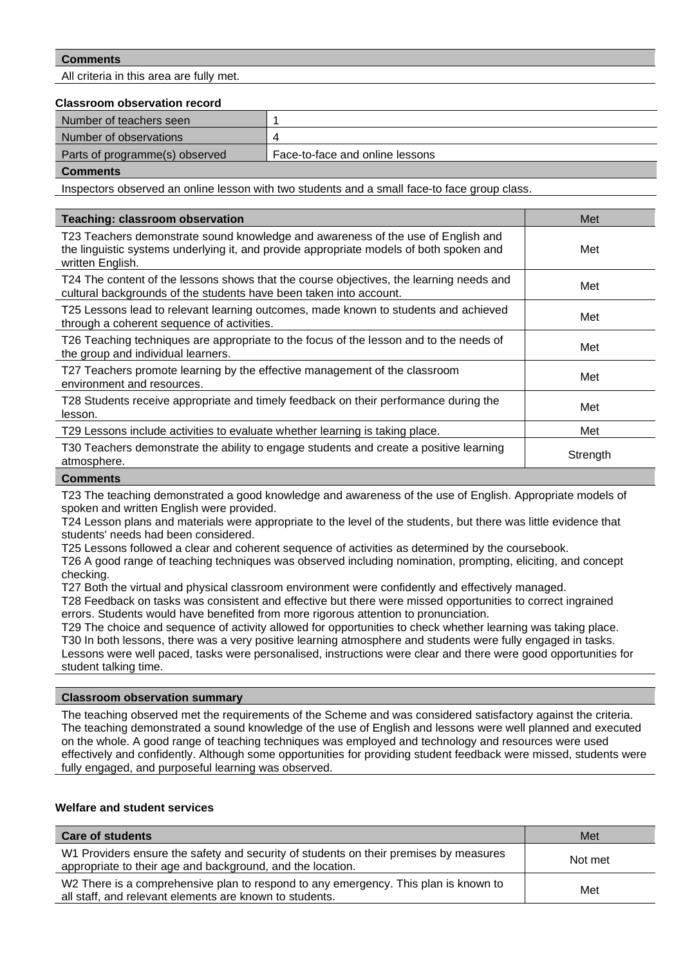All criteria in this area are fully met.

## **Classroom observation record**

| Number of teachers seen        |                                 |
|--------------------------------|---------------------------------|
| Number of observations         |                                 |
| Parts of programme(s) observed | Face-to-face and online lessons |
|                                |                                 |

**Comments**

Inspectors observed an online lesson with two students and a small face-to face group class.

| Teaching: classroom observation                                                                                                                                                                 | Met      |
|-------------------------------------------------------------------------------------------------------------------------------------------------------------------------------------------------|----------|
| T23 Teachers demonstrate sound knowledge and awareness of the use of English and<br>the linguistic systems underlying it, and provide appropriate models of both spoken and<br>written English. | Met      |
| T24 The content of the lessons shows that the course objectives, the learning needs and<br>cultural backgrounds of the students have been taken into account.                                   | Met      |
| T25 Lessons lead to relevant learning outcomes, made known to students and achieved<br>through a coherent sequence of activities.                                                               | Met      |
| T26 Teaching techniques are appropriate to the focus of the lesson and to the needs of<br>the group and individual learners.                                                                    | Met      |
| T27 Teachers promote learning by the effective management of the classroom<br>environment and resources.                                                                                        | Met      |
| T28 Students receive appropriate and timely feedback on their performance during the<br>lesson.                                                                                                 | Met      |
| T29 Lessons include activities to evaluate whether learning is taking place.                                                                                                                    | Met      |
| T30 Teachers demonstrate the ability to engage students and create a positive learning<br>atmosphere.                                                                                           | Strength |
|                                                                                                                                                                                                 |          |

#### **Comments**

T23 The teaching demonstrated a good knowledge and awareness of the use of English. Appropriate models of spoken and written English were provided.

T24 Lesson plans and materials were appropriate to the level of the students, but there was little evidence that students' needs had been considered.

T25 Lessons followed a clear and coherent sequence of activities as determined by the coursebook.

T26 A good range of teaching techniques was observed including nomination, prompting, eliciting, and concept checking.

T27 Both the virtual and physical classroom environment were confidently and effectively managed.

T28 Feedback on tasks was consistent and effective but there were missed opportunities to correct ingrained errors. Students would have benefited from more rigorous attention to pronunciation.

T29 The choice and sequence of activity allowed for opportunities to check whether learning was taking place. T30 In both lessons, there was a very positive learning atmosphere and students were fully engaged in tasks. Lessons were well paced, tasks were personalised, instructions were clear and there were good opportunities for student talking time.

## **Classroom observation summary**

The teaching observed met the requirements of the Scheme and was considered satisfactory against the criteria. The teaching demonstrated a sound knowledge of the use of English and lessons were well planned and executed on the whole. A good range of teaching techniques was employed and technology and resources were used effectively and confidently. Although some opportunities for providing student feedback were missed, students were fully engaged, and purposeful learning was observed.

## **Welfare and student services**

| <b>Care of students</b>                                                                                                                             | Met     |
|-----------------------------------------------------------------------------------------------------------------------------------------------------|---------|
| W1 Providers ensure the safety and security of students on their premises by measures<br>appropriate to their age and background, and the location. | Not met |
| W2 There is a comprehensive plan to respond to any emergency. This plan is known to<br>all staff, and relevant elements are known to students.      | Met     |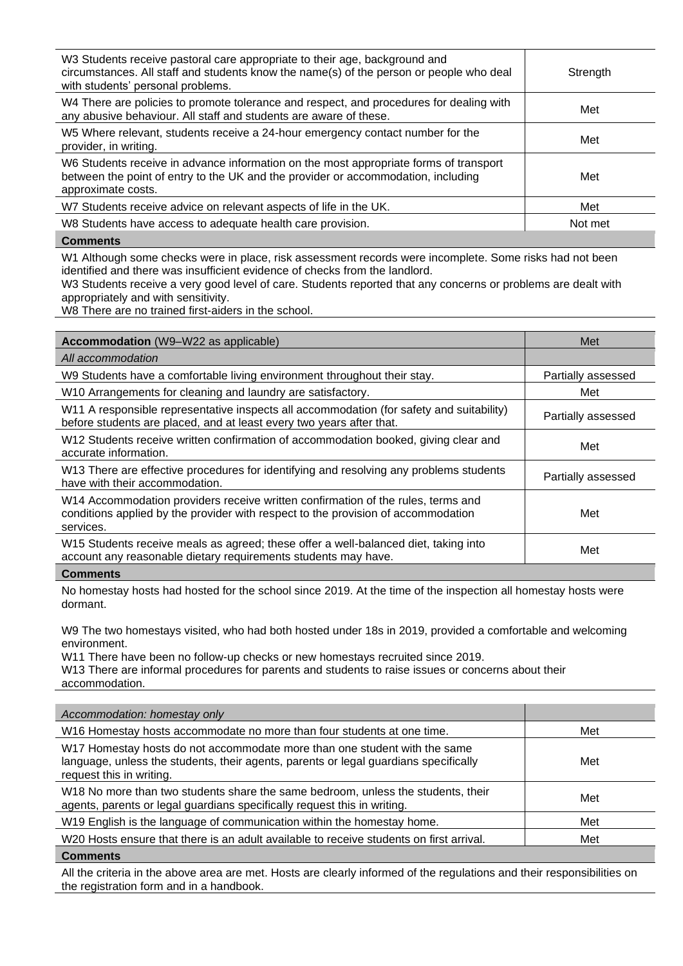| W3 Students receive pastoral care appropriate to their age, background and<br>circumstances. All staff and students know the name(s) of the person or people who deal<br>with students' personal problems. | Strength |
|------------------------------------------------------------------------------------------------------------------------------------------------------------------------------------------------------------|----------|
| W4 There are policies to promote tolerance and respect, and procedures for dealing with<br>any abusive behaviour. All staff and students are aware of these.                                               | Met      |
| W5 Where relevant, students receive a 24-hour emergency contact number for the<br>provider, in writing.                                                                                                    | Met      |
| W6 Students receive in advance information on the most appropriate forms of transport<br>between the point of entry to the UK and the provider or accommodation, including<br>approximate costs.           | Met      |
| W7 Students receive advice on relevant aspects of life in the UK.                                                                                                                                          | Met      |
| W8 Students have access to adequate health care provision.                                                                                                                                                 | Not met  |
| $\sim$ $\sim$ $\sim$                                                                                                                                                                                       |          |

W1 Although some checks were in place, risk assessment records were incomplete. Some risks had not been identified and there was insufficient evidence of checks from the landlord.

W3 Students receive a very good level of care. Students reported that any concerns or problems are dealt with appropriately and with sensitivity.

W8 There are no trained first-aiders in the school.

| <b>Accommodation</b> (W9–W22 as applicable)                                                                                                                                        | Met                |
|------------------------------------------------------------------------------------------------------------------------------------------------------------------------------------|--------------------|
| All accommodation                                                                                                                                                                  |                    |
| W9 Students have a comfortable living environment throughout their stay.                                                                                                           | Partially assessed |
| W10 Arrangements for cleaning and laundry are satisfactory.                                                                                                                        | Met                |
| W11 A responsible representative inspects all accommodation (for safety and suitability)<br>before students are placed, and at least every two years after that.                   | Partially assessed |
| W12 Students receive written confirmation of accommodation booked, giving clear and<br>accurate information.                                                                       | Met                |
| W13 There are effective procedures for identifying and resolving any problems students<br>have with their accommodation.                                                           | Partially assessed |
| W14 Accommodation providers receive written confirmation of the rules, terms and<br>conditions applied by the provider with respect to the provision of accommodation<br>services. | Met                |
| W15 Students receive meals as agreed; these offer a well-balanced diet, taking into<br>account any reasonable dietary requirements students may have.                              | Met                |
| $Cc$ $mnontr$                                                                                                                                                                      |                    |

**Comments**

No homestay hosts had hosted for the school since 2019. At the time of the inspection all homestay hosts were dormant.

W9 The two homestays visited, who had both hosted under 18s in 2019, provided a comfortable and welcoming environment.

W11 There have been no follow-up checks or new homestays recruited since 2019.

W13 There are informal procedures for parents and students to raise issues or concerns about their accommodation.

| Accommodation: homestay only                                                                                                                                                                  |     |
|-----------------------------------------------------------------------------------------------------------------------------------------------------------------------------------------------|-----|
| W16 Homestay hosts accommodate no more than four students at one time.                                                                                                                        | Met |
| W17 Homestay hosts do not accommodate more than one student with the same<br>language, unless the students, their agents, parents or legal guardians specifically<br>request this in writing. | Met |
| W18 No more than two students share the same bedroom, unless the students, their<br>agents, parents or legal guardians specifically request this in writing.                                  | Met |
| W19 English is the language of communication within the homestay home.                                                                                                                        | Met |
| W20 Hosts ensure that there is an adult available to receive students on first arrival.                                                                                                       | Met |
| <b>Comments</b>                                                                                                                                                                               |     |

All the criteria in the above area are met. Hosts are clearly informed of the regulations and their responsibilities on the registration form and in a handbook.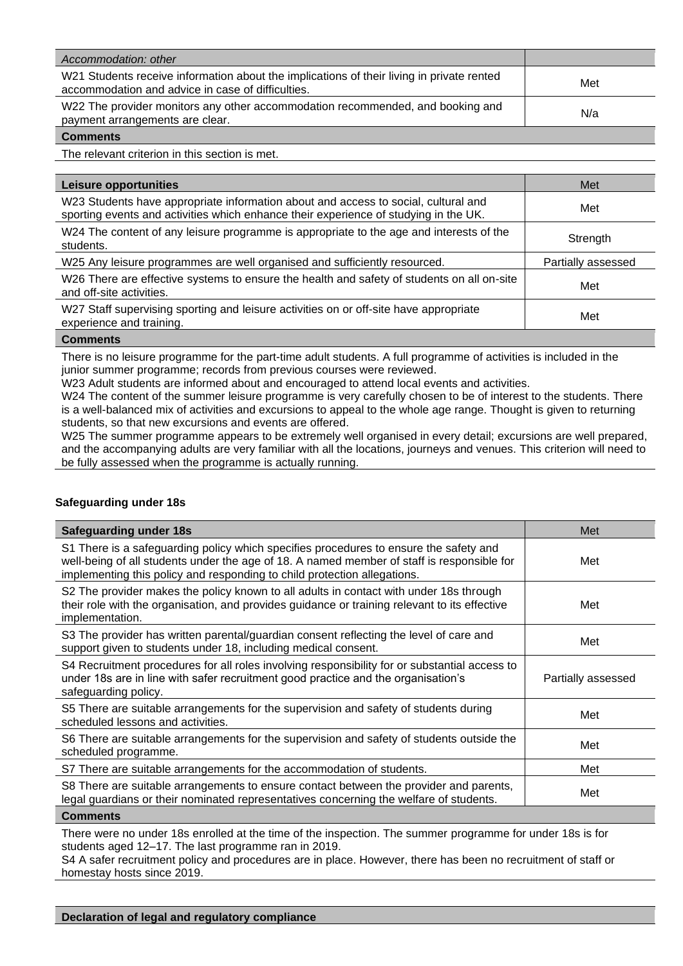| Accommodation: other                                                                                                                           |     |
|------------------------------------------------------------------------------------------------------------------------------------------------|-----|
| W21 Students receive information about the implications of their living in private rented<br>accommodation and advice in case of difficulties. | Met |
| W22 The provider monitors any other accommodation recommended, and booking and<br>payment arrangements are clear.                              | N/a |
| <b>Comments</b>                                                                                                                                |     |

The relevant criterion in this section is met.

| Leisure opportunities                                                                                                                                                      | Met                |
|----------------------------------------------------------------------------------------------------------------------------------------------------------------------------|--------------------|
| W23 Students have appropriate information about and access to social, cultural and<br>sporting events and activities which enhance their experience of studying in the UK. | Met                |
| W24 The content of any leisure programme is appropriate to the age and interests of the<br>students.                                                                       | Strength           |
| W25 Any leisure programmes are well organised and sufficiently resourced.                                                                                                  | Partially assessed |
| W26 There are effective systems to ensure the health and safety of students on all on-site<br>and off-site activities.                                                     | Met                |
| W27 Staff supervising sporting and leisure activities on or off-site have appropriate<br>experience and training.                                                          | Met                |
| Cammanta                                                                                                                                                                   |                    |

**Comments**

There is no leisure programme for the part-time adult students. A full programme of activities is included in the junior summer programme; records from previous courses were reviewed.

W23 Adult students are informed about and encouraged to attend local events and activities.

W24 The content of the summer leisure programme is very carefully chosen to be of interest to the students. There is a well-balanced mix of activities and excursions to appeal to the whole age range. Thought is given to returning students, so that new excursions and events are offered.

W25 The summer programme appears to be extremely well organised in every detail; excursions are well prepared, and the accompanying adults are very familiar with all the locations, journeys and venues. This criterion will need to be fully assessed when the programme is actually running.

# **Safeguarding under 18s**

| <b>Safeguarding under 18s</b>                                                                                                                                                                                                                                   | Met                |
|-----------------------------------------------------------------------------------------------------------------------------------------------------------------------------------------------------------------------------------------------------------------|--------------------|
| S1 There is a safeguarding policy which specifies procedures to ensure the safety and<br>well-being of all students under the age of 18. A named member of staff is responsible for<br>implementing this policy and responding to child protection allegations. | Met                |
| S2 The provider makes the policy known to all adults in contact with under 18s through<br>their role with the organisation, and provides guidance or training relevant to its effective<br>implementation.                                                      | Met                |
| S3 The provider has written parental/guardian consent reflecting the level of care and<br>support given to students under 18, including medical consent.                                                                                                        | Met                |
| S4 Recruitment procedures for all roles involving responsibility for or substantial access to<br>under 18s are in line with safer recruitment good practice and the organisation's<br>safeguarding policy.                                                      | Partially assessed |
| S5 There are suitable arrangements for the supervision and safety of students during<br>scheduled lessons and activities.                                                                                                                                       | Met                |
| S6 There are suitable arrangements for the supervision and safety of students outside the<br>scheduled programme.                                                                                                                                               | Met                |
| S7 There are suitable arrangements for the accommodation of students.                                                                                                                                                                                           | Met                |
| S8 There are suitable arrangements to ensure contact between the provider and parents,<br>legal guardians or their nominated representatives concerning the welfare of students.                                                                                | Met                |
| <b>Comments</b>                                                                                                                                                                                                                                                 |                    |

There were no under 18s enrolled at the time of the inspection. The summer programme for under 18s is for students aged 12–17. The last programme ran in 2019.

S4 A safer recruitment policy and procedures are in place. However, there has been no recruitment of staff or homestay hosts since 2019.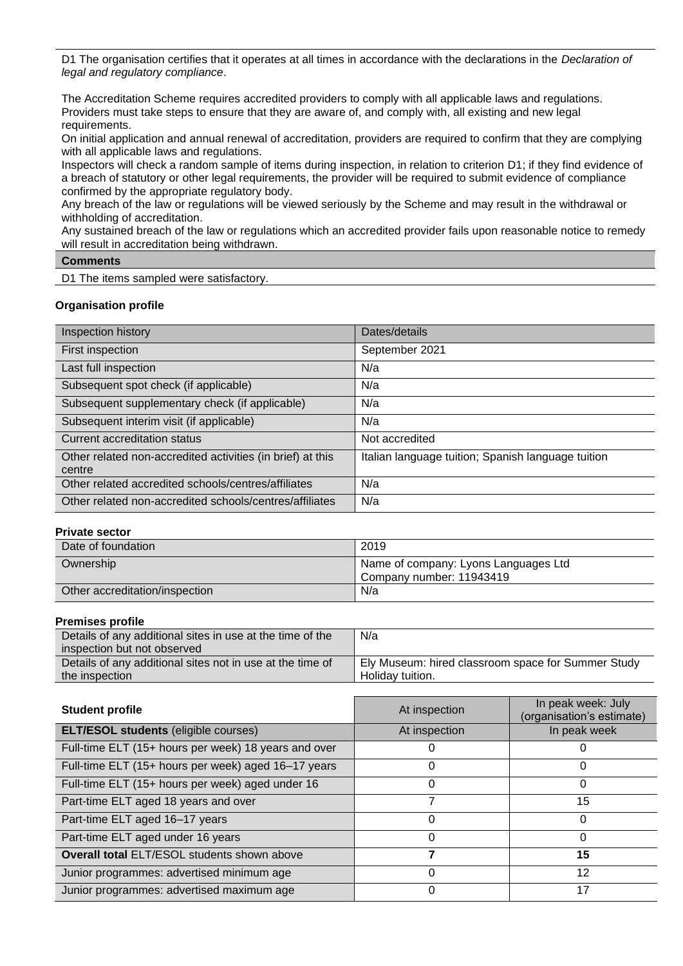D1 The organisation certifies that it operates at all times in accordance with the declarations in the *Declaration of legal and regulatory compliance*.

The Accreditation Scheme requires accredited providers to comply with all applicable laws and regulations. Providers must take steps to ensure that they are aware of, and comply with, all existing and new legal requirements.

On initial application and annual renewal of accreditation, providers are required to confirm that they are complying with all applicable laws and regulations.

Inspectors will check a random sample of items during inspection, in relation to criterion D1; if they find evidence of a breach of statutory or other legal requirements, the provider will be required to submit evidence of compliance confirmed by the appropriate regulatory body.

Any breach of the law or regulations will be viewed seriously by the Scheme and may result in the withdrawal or withholding of accreditation.

Any sustained breach of the law or regulations which an accredited provider fails upon reasonable notice to remedy will result in accreditation being withdrawn.

## **Comments**

D1 The items sampled were satisfactory.

## **Organisation profile**

| Inspection history                                                   | Dates/details                                      |
|----------------------------------------------------------------------|----------------------------------------------------|
| First inspection                                                     | September 2021                                     |
| Last full inspection                                                 | N/a                                                |
| Subsequent spot check (if applicable)                                | N/a                                                |
| Subsequent supplementary check (if applicable)                       | N/a                                                |
| Subsequent interim visit (if applicable)                             | N/a                                                |
| Current accreditation status                                         | Not accredited                                     |
| Other related non-accredited activities (in brief) at this<br>centre | Italian language tuition; Spanish language tuition |
| Other related accredited schools/centres/affiliates                  | N/a                                                |
| Other related non-accredited schools/centres/affiliates              | N/a                                                |

## **Private sector**

| Date of foundation             | 2019                                                             |
|--------------------------------|------------------------------------------------------------------|
| Ownership                      | Name of company: Lyons Languages Ltd<br>Company number: 11943419 |
| Other accreditation/inspection | N/a                                                              |

## **Premises profile**

| Details of any additional sites in use at the time of the | N/a                                                |
|-----------------------------------------------------------|----------------------------------------------------|
| inspection but not observed                               |                                                    |
| Details of any additional sites not in use at the time of | Ely Museum: hired classroom space for Summer Study |
| the inspection                                            | Holiday tuition.                                   |

| <b>Student profile</b>                               | At inspection | In peak week: July<br>(organisation's estimate) |
|------------------------------------------------------|---------------|-------------------------------------------------|
| <b>ELT/ESOL students (eligible courses)</b>          | At inspection | In peak week                                    |
| Full-time ELT (15+ hours per week) 18 years and over |               |                                                 |
| Full-time ELT (15+ hours per week) aged 16-17 years  | 0             |                                                 |
| Full-time ELT (15+ hours per week) aged under 16     | 0             | 0                                               |
| Part-time ELT aged 18 years and over                 |               | 15                                              |
| Part-time ELT aged 16-17 years                       | $\Omega$      | 0                                               |
| Part-time ELT aged under 16 years                    | 0             | 0                                               |
| <b>Overall total ELT/ESOL students shown above</b>   |               | 15                                              |
| Junior programmes: advertised minimum age            | 0             | 12                                              |
| Junior programmes: advertised maximum age            | 0             | 17                                              |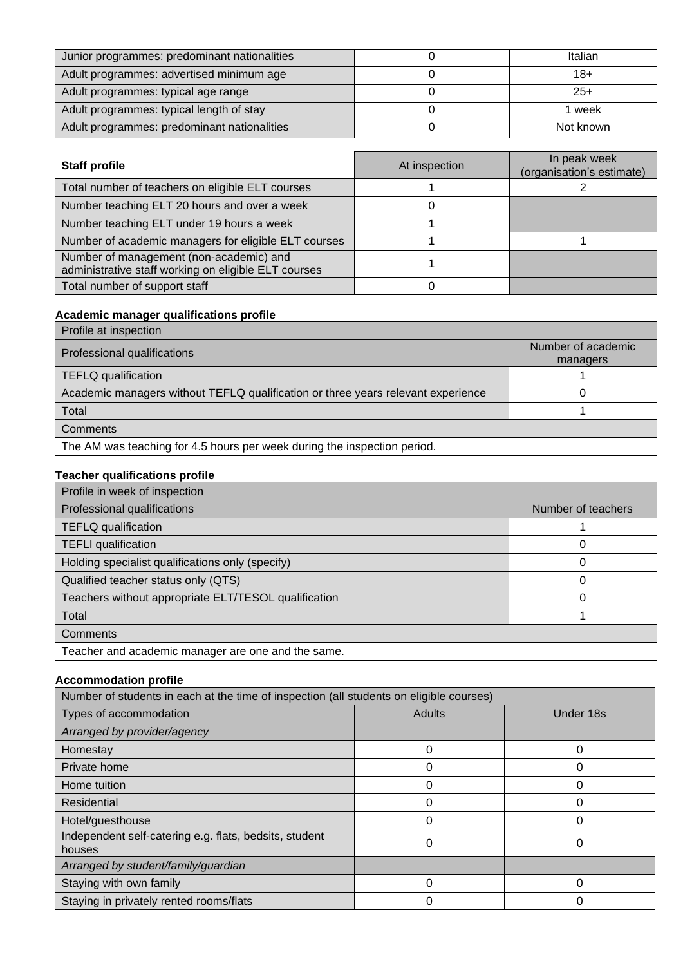| Junior programmes: predominant nationalities | Italian   |
|----------------------------------------------|-----------|
| Adult programmes: advertised minimum age     | 18+       |
| Adult programmes: typical age range          | $25+$     |
| Adult programmes: typical length of stay     | week      |
| Adult programmes: predominant nationalities  | Not known |

| <b>Staff profile</b>                                                                            | At inspection | In peak week<br>(organisation's estimate) |
|-------------------------------------------------------------------------------------------------|---------------|-------------------------------------------|
| Total number of teachers on eligible ELT courses                                                |               |                                           |
| Number teaching ELT 20 hours and over a week                                                    |               |                                           |
| Number teaching ELT under 19 hours a week                                                       |               |                                           |
| Number of academic managers for eligible ELT courses                                            |               |                                           |
| Number of management (non-academic) and<br>administrative staff working on eligible ELT courses |               |                                           |
| Total number of support staff                                                                   |               |                                           |

# **Academic manager qualifications profile**

| Profile at inspection                                                            |                                |
|----------------------------------------------------------------------------------|--------------------------------|
| Professional qualifications                                                      | Number of academic<br>managers |
| <b>TEFLQ</b> qualification                                                       |                                |
| Academic managers without TEFLQ qualification or three years relevant experience |                                |
| Total                                                                            |                                |
| Comments                                                                         |                                |
|                                                                                  |                                |

The AM was teaching for 4.5 hours per week during the inspection period.

# **Teacher qualifications profile**

| Profile in week of inspection                        |                    |
|------------------------------------------------------|--------------------|
| Professional qualifications                          | Number of teachers |
| <b>TEFLQ</b> qualification                           |                    |
| <b>TEFLI</b> qualification                           | 0                  |
| Holding specialist qualifications only (specify)     | 0                  |
| Qualified teacher status only (QTS)                  | O                  |
| Teachers without appropriate ELT/TESOL qualification | 0                  |
| Total                                                |                    |
| Comments                                             |                    |
| Teacher and academic manager are one and the same.   |                    |

# **Accommodation profile**

| Number of students in each at the time of inspection (all students on eligible courses) |               |           |
|-----------------------------------------------------------------------------------------|---------------|-----------|
| Types of accommodation                                                                  | <b>Adults</b> | Under 18s |
| Arranged by provider/agency                                                             |               |           |
| Homestay                                                                                | 0             |           |
| Private home                                                                            | 0             |           |
| Home tuition                                                                            | 0             |           |
| Residential                                                                             | 0             |           |
| Hotel/guesthouse                                                                        | 0             |           |
| Independent self-catering e.g. flats, bedsits, student<br>houses                        | 0             | 0         |
| Arranged by student/family/guardian                                                     |               |           |
| Staying with own family                                                                 | 0             |           |
| Staying in privately rented rooms/flats                                                 | 0             |           |